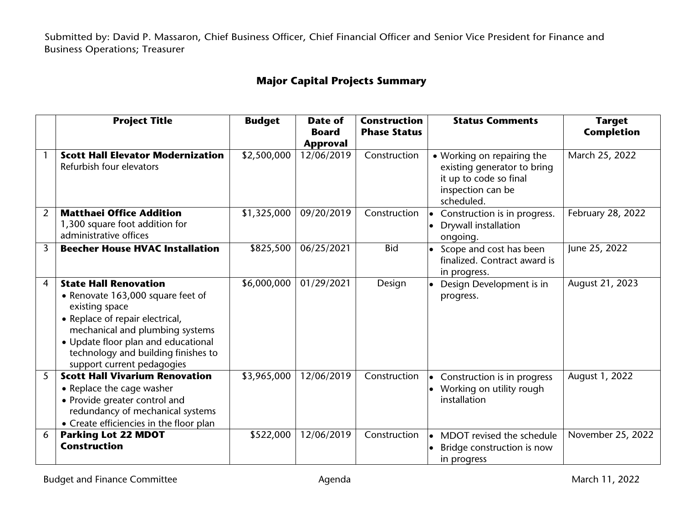Submitted by: David P. Massaron, Chief Business Officer, Chief Financial Officer and Senior Vice President for Finance and Business Operations; Treasurer

## **Major Capital Projects Summary**

|                | <b>Project Title</b>                                                                                                                                                                                                                                                  | <b>Budget</b> | <b>Date of</b><br><b>Board</b><br><b>Approval</b> | <b>Construction</b><br><b>Phase Status</b> | <b>Status Comments</b>                                                                                                 | <b>Target</b><br><b>Completion</b> |
|----------------|-----------------------------------------------------------------------------------------------------------------------------------------------------------------------------------------------------------------------------------------------------------------------|---------------|---------------------------------------------------|--------------------------------------------|------------------------------------------------------------------------------------------------------------------------|------------------------------------|
|                | <b>Scott Hall Elevator Modernization</b><br>Refurbish four elevators                                                                                                                                                                                                  | \$2,500,000   | 12/06/2019                                        | Construction                               | • Working on repairing the<br>existing generator to bring<br>it up to code so final<br>inspection can be<br>scheduled. | March 25, 2022                     |
| $\overline{2}$ | <b>Matthaei Office Addition</b><br>1,300 square foot addition for<br>administrative offices                                                                                                                                                                           | \$1,325,000   | 09/20/2019                                        | Construction                               | Construction is in progress.<br>Drywall installation<br>ongoing.                                                       | February 28, 2022                  |
| $\overline{3}$ | <b>Beecher House HVAC Installation</b>                                                                                                                                                                                                                                | \$825,500     | 06/25/2021                                        | <b>Bid</b>                                 | Scope and cost has been<br>finalized. Contract award is<br>in progress.                                                | June 25, 2022                      |
| $\overline{4}$ | <b>State Hall Renovation</b><br>• Renovate 163,000 square feet of<br>existing space<br>• Replace of repair electrical,<br>mechanical and plumbing systems<br>• Update floor plan and educational<br>technology and building finishes to<br>support current pedagogies | \$6,000,000   | 01/29/2021                                        | Design                                     | Design Development is in<br>progress.                                                                                  | August 21, 2023                    |
| 5              | <b>Scott Hall Vivarium Renovation</b><br>• Replace the cage washer<br>• Provide greater control and<br>redundancy of mechanical systems<br>• Create efficiencies in the floor plan                                                                                    | \$3,965,000   | 12/06/2019                                        | Construction                               | Construction is in progress<br>$\bullet$<br>Working on utility rough<br>installation                                   | August 1, 2022                     |
| 6              | <b>Parking Lot 22 MDOT</b><br><b>Construction</b>                                                                                                                                                                                                                     | \$522,000     | 12/06/2019                                        | Construction                               | MDOT revised the schedule<br>$\bullet$<br>Bridge construction is now<br>in progress                                    | November 25, 2022                  |